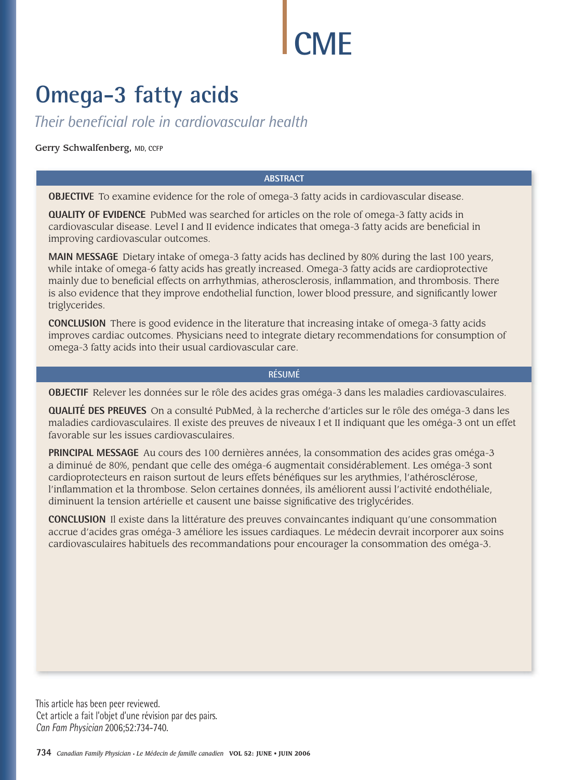# **CME**

# **Omega-3 fatty acids**

*Their beneficial role in cardiovascular health* 

Gerry Schwalfenberg**, MD, CCFP**

#### **ABSTRACT**

**OBJECTIVE** To examine evidence for the role of omega-3 fatty acids in cardiovascular disease.

**QUALITY OF EVIDENCE** PubMed was searched for articles on the role of omega-3 fatty acids in cardiovascular disease. Level I and II evidence indicates that omega-3 fatty acids are beneficial in improving cardiovascular outcomes.

**MAIN MESSAGE** Dietary intake of omega-3 fatty acids has declined by 80% during the last 100 years, while intake of omega-6 fatty acids has greatly increased. Omega-3 fatty acids are cardioprotective mainly due to beneficial effects on arrhythmias, atherosclerosis, inflammation, and thrombosis. There is also evidence that they improve endothelial function, lower blood pressure, and significantly lower triglycerides.

**CONCLUSION** There is good evidence in the literature that increasing intake of omega-3 fatty acids improves cardiac outcomes. Physicians need to integrate dietary recommendations for consumption of omega-3 fatty acids into their usual cardiovascular care.

#### **RÉSUMÉ**

**OBJECTIF** Relever les données sur le rôle des acides gras oméga-3 dans les maladies cardiovasculaires.

**QUALITÉ DES PREUVES** On a consulté PubMed, à la recherche d'articles sur le rôle des oméga-3 dans les maladies cardiovasculaires. Il existe des preuves de niveaux I et II indiquant que les oméga-3 ont un effet favorable sur les issues cardiovasculaires.

**PRINCIPAL MESSAGE** Au cours des 100 dernières années, la consommation des acides gras oméga-3 a diminué de 80%, pendant que celle des oméga-6 augmentait considérablement. Les oméga-3 sont cardioprotecteurs en raison surtout de leurs effets bénéfiques sur les arythmies, l'athérosclérose, l'inflammation et la thrombose. Selon certaines données, ils améliorent aussi l'activité endothéliale, diminuent la tension artérielle et causent une baisse significative des triglycérides.

**CONCLUSION** Il existe dans la littérature des preuves convaincantes indiquant qu'une consommation accrue d'acides gras oméga-3 améliore les issues cardiaques. Le médecin devrait incorporer aux soins cardiovasculaires habituels des recommandations pour encourager la consommation des oméga-3.

This article has been peer reviewed. Cet article a fait l'objet d'une révision par des pairs. *Can Fam Physician* 2006;52:734-740.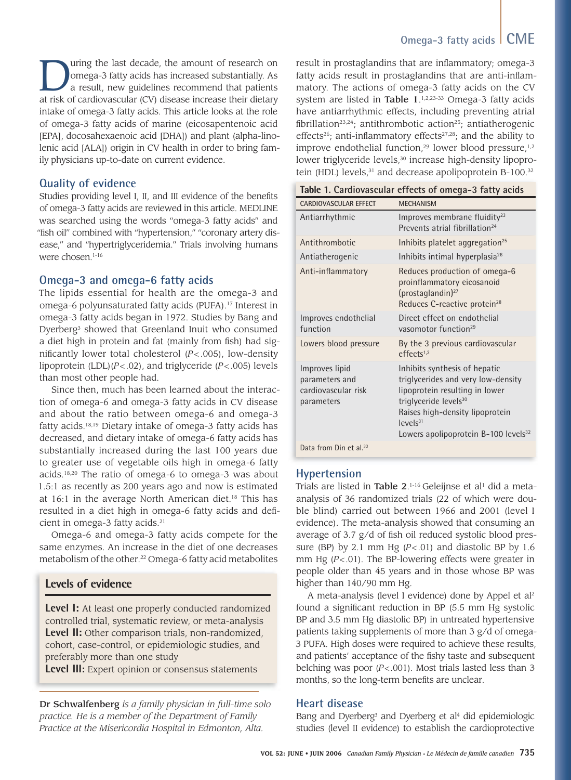Ultimate last decade, the amount of research on<br>
omega-3 fatty acids has increased substantially. As<br>
a result, new guidelines recommend that patients<br>
at risk of cardiovascular (CV) disease increase their distants omega-3 fatty acids has increased substantially. As a result, new guidelines recommend that patients at risk of cardiovascular (CV) disease increase their dietary intake of omega-3 fatty acids. This article looks at the role of omega-3 fatty acids of marine (eicosapentenoic acid [EPA], docosahexaenoic acid [DHA]) and plant (alpha-linolenic acid [ALA]) origin in CV health in order to bring family physicians up-to-date on current evidence.

#### **Quality of evidence**

Studies providing level I, II, and III evidence of the benefits of omega-3 fatty acids are reviewed in this article. MEDLINE was searched using the words "omega-3 fatty acids" and "fish oil" combined with "hypertension," "coronary artery disease," and "hypertriglyceridemia." Trials involving humans were chosen.<sup>1-16</sup>

#### **Omega-3 and omega-6 fatty acids**

The lipids essential for health are the omega-3 and omega-6 polyunsaturated fatty acids (PUFA).17 Interest in omega-3 fatty acids began in 1972. Studies by Bang and Dyerberg<sup>3</sup> showed that Greenland Inuit who consumed a diet high in protein and fat (mainly from fish) had significantly lower total cholesterol  $(P < .005)$ , low-density lipoprotein (LDL)(*P* < .02), and triglyceride (*P* < .005) levels than most other people had.

Since then, much has been learned about the interaction of omega-6 and omega-3 fatty acids in CV disease and about the ratio between omega-6 and omega-3 fatty acids.18,19 Dietary intake of omega-3 fatty acids has decreased, and dietary intake of omega-6 fatty acids has substantially increased during the last 100 years due to greater use of vegetable oils high in omega-6 fatty acids.18,20 The ratio of omega-6 to omega-3 was about 1.5:1 as recently as 200 years ago and now is estimated at  $16:1$  in the average North American diet.<sup>18</sup> This has resulted in a diet high in omega-6 fatty acids and deficient in omega-3 fatty acids.<sup>21</sup>

Omega-6 and omega-3 fatty acids compete for the same enzymes. An increase in the diet of one decreases metabolism of the other.<sup>22</sup> Omega-6 fatty acid metabolites

#### **Levels of evidence**

**Level I:** At least one properly conducted randomized controlled trial, systematic review, or meta-analysis **Level II:** Other comparison trials, non-randomized, cohort, case-control, or epidemiologic studies, and preferably more than one study

**Level III:** Expert opinion or consensus statements

Dr Schwalfenberg *is a family physician in full-time solo practice. He is a member of the Department of Family Practice at the Misericordia Hospital in Edmonton, Alta.*

# **Omega-3 fatty acids CME**

result in prostaglandins that are inflammatory; omega-3 fatty acids result in prostaglandins that are anti-inflammatory. The actions of omega-3 fatty acids on the CV system are listed in Table 1.<sup>1,2,23-33</sup> Omega-3 fatty acids have antiarrhythmic effects, including preventing atrial fibrillation<sup>23,24</sup>; antithrombotic action<sup>25</sup>; antiatherogenic effects<sup>26</sup>; anti-inflammatory effects<sup>27,28</sup>; and the ability to improve endothelial function,<sup>29</sup> lower blood pressure, $1,2$ lower triglyceride levels,<sup>30</sup> increase high-density lipoprotein (HDL) levels,<sup>31</sup> and decrease apolipoprotein B-100.<sup>32</sup>

|                                                                       | ravic i. Cardiovascular criccis or omicya o latty acius                                                                                                                                                                                            |
|-----------------------------------------------------------------------|----------------------------------------------------------------------------------------------------------------------------------------------------------------------------------------------------------------------------------------------------|
| <b>CARDIOVASCULAR EFFECT</b>                                          | <b>MECHANISM</b>                                                                                                                                                                                                                                   |
| Antiarrhythmic                                                        | Improves membrane fluidity <sup>23</sup><br>Prevents atrial fibrillation <sup>24</sup>                                                                                                                                                             |
| Antithrombotic                                                        | Inhibits platelet aggregation <sup>25</sup>                                                                                                                                                                                                        |
| Antiatherogenic                                                       | Inhibits intimal hyperplasia <sup>26</sup>                                                                                                                                                                                                         |
| Anti-inflammatory                                                     | Reduces production of omega-6<br>proinflammatory eicosanoid<br>(prostaglandin) <sup>27</sup><br>Reduces C-reactive protein <sup>28</sup>                                                                                                           |
| Improves endothelial<br>function                                      | Direct effect on endothelial<br>vasomotor function <sup>29</sup>                                                                                                                                                                                   |
| Lowers blood pressure                                                 | By the 3 previous cardiovascular<br>effects <sup>1,2</sup>                                                                                                                                                                                         |
| Improves lipid<br>parameters and<br>cardiovascular risk<br>parameters | Inhibits synthesis of hepatic<br>triglycerides and very low-density<br>lipoprotein resulting in lower<br>triglyceride levels <sup>30</sup><br>Raises high-density lipoprotein<br>$levels^{31}$<br>Lowers apolipoprotein B-100 levels <sup>32</sup> |
| Data from Din et al. <sup>33</sup>                                    |                                                                                                                                                                                                                                                    |

### **Table 1. Cardiovascular effects of omega-3 fatty acids**

#### **Hypertension**

Trials are listed in **Table 2**.<sup>1-16</sup> Geleijnse et al<sup>1</sup> did a metaanalysis of 36 randomized trials (22 of which were double blind) carried out between 1966 and 2001 (level I evidence). The meta-analysis showed that consuming an average of 3.7  $g/d$  of fish oil reduced systolic blood pressure (BP) by 2.1 mm Hg  $(P < .01)$  and diastolic BP by 1.6 mm Hg (*P* < .01). The BP-lowering effects were greater in people older than 45 years and in those whose BP was higher than 140/90 mm Hg.

A meta-analysis (level I evidence) done by Appel et al2 found a significant reduction in BP (5.5 mm Hg systolic BP and 3.5 mm Hg diastolic BP) in untreated hypertensive patients taking supplements of more than 3 g/d of omega-3 PUFA. High doses were required to achieve these results, and patients' acceptance of the fishy taste and subsequent belching was poor (*P* < .001). Most trials lasted less than 3 months, so the long-term benefits are unclear.

#### **Heart disease**

Bang and Dyerberg<sup>3</sup> and Dyerberg et al<sup>4</sup> did epidemiologic studies (level II evidence) to establish the cardioprotective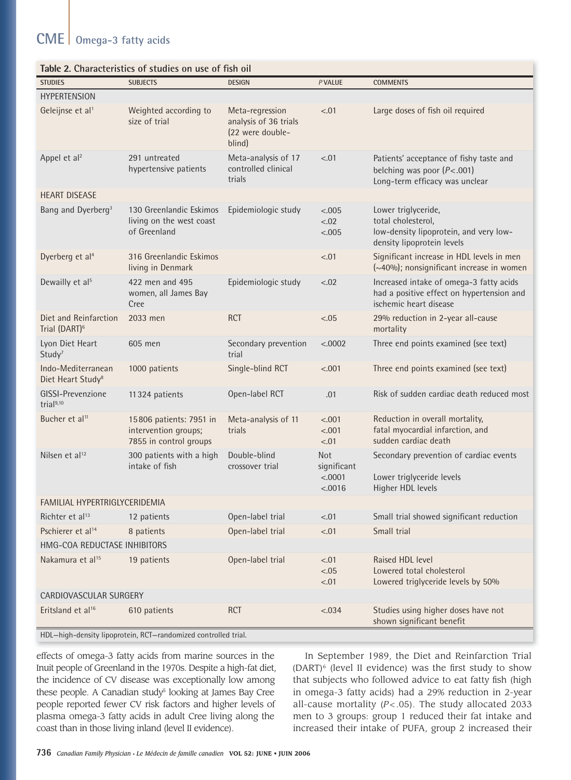# **CME Omega-3 fatty acids**

| <b>STUDIES</b>                                      | Table 2. Characteristics of studies on use of fish on<br><b>SUBJECTS</b>  | <b>DESIGN</b>                                                          | P VALUE                                         | <b>COMMENTS</b>                                                                                                   |  |
|-----------------------------------------------------|---------------------------------------------------------------------------|------------------------------------------------------------------------|-------------------------------------------------|-------------------------------------------------------------------------------------------------------------------|--|
| <b>HYPERTENSION</b>                                 |                                                                           |                                                                        |                                                 |                                                                                                                   |  |
| Geleijnse et al <sup>1</sup>                        | Weighted according to<br>size of trial                                    | Meta-regression<br>analysis of 36 trials<br>(22 were double-<br>blind) | < 0.01                                          | Large doses of fish oil required                                                                                  |  |
| Appel et al <sup>2</sup>                            | 291 untreated<br>hypertensive patients                                    | Meta-analysis of 17<br>controlled clinical<br>trials                   | < .01                                           | Patients' acceptance of fishy taste and<br>belching was poor $(P<.001)$<br>Long-term efficacy was unclear         |  |
| <b>HEART DISEASE</b>                                |                                                                           |                                                                        |                                                 |                                                                                                                   |  |
| Bang and Dyerberg <sup>3</sup>                      | 130 Greenlandic Eskimos<br>living on the west coast<br>of Greenland       | Epidemiologic study                                                    | < .005<br>< .02<br>< .005                       | Lower triglyceride,<br>total cholesterol,<br>low-density lipoprotein, and very low-<br>density lipoprotein levels |  |
| Dyerberg et al <sup>4</sup>                         | 316 Greenlandic Eskimos<br>living in Denmark                              |                                                                        | $-.01$                                          | Significant increase in HDL levels in men<br>(~40%); nonsignificant increase in women                             |  |
| Dewailly et al <sup>5</sup>                         | 422 men and 495<br>women, all James Bay<br>Cree                           | Epidemiologic study                                                    | < .02                                           | Increased intake of omega-3 fatty acids<br>had a positive effect on hypertension and<br>ischemic heart disease    |  |
| Diet and Reinfarction<br>Trial (DART) <sup>6</sup>  | 2033 men                                                                  | <b>RCT</b>                                                             | < .05                                           | 29% reduction in 2-year all-cause<br>mortality                                                                    |  |
| Lyon Diet Heart<br>Study <sup>7</sup>               | 605 men                                                                   | Secondary prevention<br>trial                                          | < .0002                                         | Three end points examined (see text)                                                                              |  |
| Indo-Mediterranean<br>Diet Heart Study <sup>8</sup> | 1000 patients                                                             | Single-blind RCT                                                       | < .001                                          | Three end points examined (see text)                                                                              |  |
| GISSI-Prevenzione<br>trial <sup>9,10</sup>          | 11324 patients                                                            | Open-label RCT                                                         | .01                                             | Risk of sudden cardiac death reduced most                                                                         |  |
| Bucher et al <sup>11</sup>                          | 15806 patients: 7951 in<br>intervention groups;<br>7855 in control groups | Meta-analysis of 11<br>trials                                          | < .001<br>< .001<br>< 01                        | Reduction in overall mortality,<br>fatal myocardial infarction, and<br>sudden cardiac death                       |  |
| Nilsen et al <sup>12</sup>                          | 300 patients with a high<br>intake of fish                                | Double-blind<br>crossover trial                                        | <b>Not</b><br>significant<br>< .0001<br>< .0016 | Secondary prevention of cardiac events<br>Lower triglyceride levels<br>Higher HDL levels                          |  |
| FAMILIAL HYPERTRIGLYCERIDEMIA                       |                                                                           |                                                                        |                                                 |                                                                                                                   |  |
| Richter et al <sup>13</sup>                         | 12 patients                                                               | Open-label trial                                                       | < .01                                           | Small trial showed significant reduction                                                                          |  |
| Pschierer et al <sup>14</sup>                       | 8 patients                                                                | Open-label trial                                                       | $-.01$                                          | Small trial                                                                                                       |  |
| HMG-COA REDUCTASE INHIBITORS                        |                                                                           |                                                                        |                                                 |                                                                                                                   |  |
| Nakamura et al <sup>15</sup>                        | 19 patients                                                               | Open-label trial                                                       | $-.01$<br>$-.05$<br>$-.01$                      | Raised HDL level<br>Lowered total cholesterol<br>Lowered triglyceride levels by 50%                               |  |
| CARDIOVASCULAR SURGERY                              |                                                                           |                                                                        |                                                 |                                                                                                                   |  |
| Eritsland et al <sup>16</sup>                       | 610 patients                                                              | <b>RCT</b>                                                             | < .034                                          | Studies using higher doses have not<br>shown significant benefit                                                  |  |
|                                                     |                                                                           |                                                                        |                                                 |                                                                                                                   |  |

HDL—high-density lipoprotein, RCT—randomized controlled trial.

effects of omega-3 fatty acids from marine sources in the Inuit people of Greenland in the 1970s. Despite a high-fat diet, the incidence of CV disease was exceptionally low among these people. A Canadian study<sup>5</sup> looking at James Bay Cree people reported fewer CV risk factors and higher levels of plasma omega-3 fatty acids in adult Cree living along the coast than in those living inland (level II evidence).

In September 1989, the Diet and Reinfarction Trial  $(DART)^6$  (level II evidence) was the first study to show that subjects who followed advice to eat fatty fish (high in omega-3 fatty acids) had a 29% reduction in 2-year all-cause mortality  $(P < .05)$ . The study allocated 2033 men to 3 groups: group 1 reduced their fat intake and increased their intake of PUFA, group 2 increased their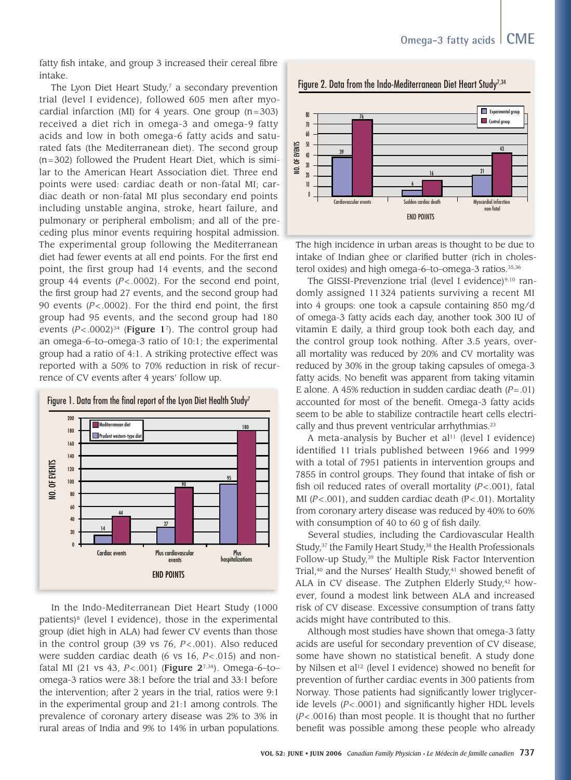fatty fish intake, and group 3 increased their cereal fibre intake.

The Lyon Diet Heart Study,<sup>7</sup> a secondary prevention trial (level I evidence), followed 605 men after myocardial infarction (MI) for 4 years. One group  $(n=303)$ received a diet rich in omega-3 and omega-9 fatty acids and low in both omega-6 fatty acids and saturated fats (the Mediterranean diet). The second group  $(n=302)$  followed the Prudent Heart Diet, which is similar to the American Heart Association diet. Three end points were used: cardiac death or non-fatal MI; cardiac death or non-fatal MI plus secondary end points including unstable angina, stroke, heart failure, and pulmonary or peripheral embolism; and all of the preceding plus minor events requiring hospital admission. The experimental group following the Mediterranean diet had fewer events at all end points. For the first end point, the first group had 14 events, and the second group 44 events  $(P < .0002)$ . For the second end point, the first group had 27 events, and the second group had 90 events ( $P < .0002$ ). For the third end point, the first group had 95 events, and the second group had 180 events  $(P < .0002)^{34}$  (Figure 17). The control group had an omega-6-to-omega-3 ratio of 10:1; the experimental group had a ratio of 4:1. A striking protective effect was reported with a 50% to 70% reduction in risk of recurrence of CV events after 4 years' follow up.



In the Indo-Mediterranean Diet Heart Study (1000 patients)<sup>8</sup> (level I evidence), those in the experimental group (diet high in ALA) had fewer CV events than those in the control group (39 vs  $76$ ,  $P < .001$ ). Also reduced were sudden cardiac death (6 vs 16,  $P < .015$ ) and nonfatal MI (21 vs 43, P<.001) (Figure 27,34). Omega-6-toomega-3 ratios were 38:1 before the trial and 33:1 before the intervention; after 2 years in the trial, ratios were 9:1 in the experimental group and 21:1 among controls. The prevalence of coronary artery disease was 2% to 3% in rural areas of India and 9% to 14% in urban populations.



Figure 2. Data from the Indo-Mediterranean Diet Heart Study<sup>7,34</sup>

The high incidence in urban areas is thought to be due to

intake of Indian ghee or clarified butter (rich in cholesterol oxides) and high omega-6-to-omega-3 ratios.<sup>35,36</sup>

The GISSI-Prevenzione trial (level I evidence)<sup>9,10</sup> randomly assigned 11324 patients surviving a recent MI into 4 groups: one took a capsule containing 850 mg/d of omega-3 fatty acids each day, another took 300 IU of vitamin E daily, a third group took both each day, and the control group took nothing. After 3.5 years, overall mortality was reduced by 20% and CV mortality was reduced by 30% in the group taking capsules of omega-3 fatty acids. No benefit was apparent from taking vitamin E alone. A 45% reduction in sudden cardiac death  $(P=.01)$ accounted for most of the benefit. Omega-3 fatty acids seem to be able to stabilize contractile heart cells electrically and thus prevent ventricular arrhythmias.<sup>23</sup>

A meta-analysis by Bucher et al<sup>11</sup> (level I evidence) identified 11 trials published between 1966 and 1999 with a total of 7951 patients in intervention groups and 7855 in control groups. They found that intake of fish or fish oil reduced rates of overall mortality  $(P < .001)$ , fatal MI ( $P < .001$ ), and sudden cardiac death ( $P < .01$ ). Mortality from coronary artery disease was reduced by 40% to 60% with consumption of 40 to 60 g of fish daily.

Several studies, including the Cardiovascular Health Study,<sup>37</sup> the Family Heart Study,<sup>38</sup> the Health Professionals Follow-up Study,<sup>39</sup> the Multiple Risk Factor Intervention Trial,<sup>40</sup> and the Nurses' Health Study,<sup>41</sup> showed benefit of ALA in CV disease. The Zutphen Elderly Study,<sup>42</sup> however, found a modest link between ALA and increased risk of CV disease. Excessive consumption of trans fatty acids might have contributed to this.

Although most studies have shown that omega-3 fatty acids are useful for secondary prevention of CV disease, some have shown no statistical benefit. A study done by Nilsen et al<sup>12</sup> (level I evidence) showed no benefit for prevention of further cardiac events in 300 patients from Norway. Those patients had significantly lower triglyceride levels  $(P < .0001)$  and significantly higher HDL levels  $(P<.0016)$  than most people. It is thought that no further benefit was possible among these people who already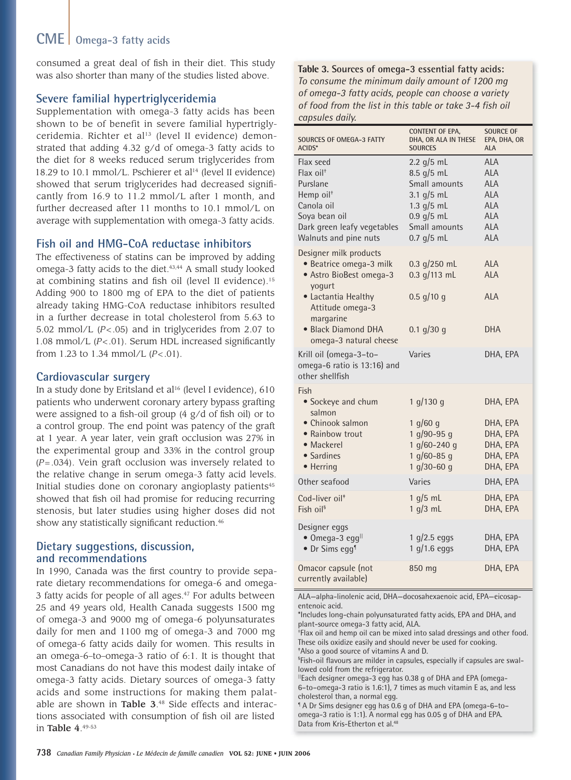## **CME Omega-3 fatty acids**

consumed a great deal of fish in their diet. This study was also shorter than many of the studies listed above.

#### **Severe familial hypertriglyceridemia**

Supplementation with omega-3 fatty acids has been shown to be of benefit in severe familial hypertriglyceridemia. Richter et al<sup>13</sup> (level II evidence) demonstrated that adding 4.32 g/d of omega-3 fatty acids to the diet for 8 weeks reduced serum triglycerides from 18.29 to 10.1 mmol/L. Pschierer et al<sup>14</sup> (level II evidence) showed that serum triglycerides had decreased significantly from 16.9 to 11.2 mmol/L after 1 month, and further decreased after 11 months to 10.1 mmol/L on average with supplementation with omega-3 fatty acids.

#### **Fish oil and HMG-CoA reductase inhibitors**

The effectiveness of statins can be improved by adding omega-3 fatty acids to the diet.<sup>43,44</sup> A small study looked at combining statins and fish oil (level II evidence).<sup>15</sup> Adding 900 to 1800 mg of EPA to the diet of patients already taking HMG-CoA reductase inhibitors resulted in a further decrease in total cholesterol from 5.63 to 5.02 mmol/L (*P* < .05) and in triglycerides from 2.07 to 1.08 mmol/L (P<.01). Serum HDL increased significantly from 1.23 to 1.34 mmol/L  $(P < .01)$ .

#### **Cardiovascular surgery**

In a study done by Eritsland et al<sup>16</sup> (level I evidence), 610 patients who underwent coronary artery bypass grafting were assigned to a fish-oil group  $(4 \text{ g}/d)$  of fish oil) or to a control group. The end point was patency of the graft at 1 year. A year later, vein graft occlusion was 27% in the experimental group and 33% in the control group (*P* = .034). Vein graft occlusion was inversely related to the relative change in serum omega-3 fatty acid levels. Initial studies done on coronary angioplasty patients<sup>45</sup> showed that fish oil had promise for reducing recurring stenosis, but later studies using higher doses did not show any statistically significant reduction.<sup>46</sup>

#### **Dietary suggestions, discussion, and recommendations**

In 1990, Canada was the first country to provide separate dietary recommendations for omega-6 and omega-3 fatty acids for people of all ages.<sup>47</sup> For adults between 25 and 49 years old, Health Canada suggests 1500 mg of omega-3 and 9000 mg of omega-6 polyunsaturates daily for men and 1100 mg of omega-3 and 7000 mg of omega-6 fatty acids daily for women. This results in an omega-6–to–omega-3 ratio of 6:1. It is thought that most Canadians do not have this modest daily intake of omega-3 fatty acids. Dietary sources of omega-3 fatty acids and some instructions for making them palatable are shown in **Table 3**.48 Side effects and interactions associated with consumption of fish oil are listed in Table 4. 49-53

**Table 3. Sources of omega-3 essential fatty acids:**  *To consume the minimum daily amount of 1200 mg of omega-3 fatty acids, people can choose a variety of food from the list in this table or take 3-4 fi sh oil capsules daily.*

| SOURCES OF OMEGA-3 FATTY<br><b>ACIDS*</b>                                                                                                            | <b>CONTENT OF EPA,</b><br>DHA, OR ALA IN THESE<br><b>SOURCES</b>                                                             | <b>SOURCE OF</b><br>EPA, DHA, OR<br>ALA                                                               |
|------------------------------------------------------------------------------------------------------------------------------------------------------|------------------------------------------------------------------------------------------------------------------------------|-------------------------------------------------------------------------------------------------------|
| Flax seed<br>Flax $oil+$<br>Purslane<br>Hemp oil <sup>+</sup><br>Canola oil<br>Soya bean oil<br>Dark green leafy vegetables<br>Walnuts and pine nuts | $2.2$ g/5 mL<br>8.5 g/5 mL<br>Small amounts<br>3.1 $q/5$ mL<br>1.3 $g/5$ mL<br>$0.9$ g/5 mL<br>Small amounts<br>$0.7$ g/5 mL | <b>ALA</b><br>ALA<br><b>ALA</b><br><b>ALA</b><br><b>ALA</b><br><b>ALA</b><br><b>ALA</b><br><b>ALA</b> |
| Designer milk products<br>· Beatrice omega-3 milk<br>• Astro BioBest omega-3<br>yogurt<br>• Lactantia Healthy<br>Attitude omega-3<br>margarine       | $0.3$ g/250 mL<br>$0.3$ g/113 mL<br>$0.5$ g/10 g                                                                             | ALA<br><b>ALA</b><br><b>ALA</b>                                                                       |
| • Black Diamond DHA<br>omega-3 natural cheese<br>Krill oil (omega-3-to-<br>omega-6 ratio is 13:16) and<br>other shellfish                            | $0.1$ g/30 g<br>Varies                                                                                                       | <b>DHA</b><br>DHA, EPA                                                                                |
| Fish<br>• Sockeye and chum<br>salmon<br>• Chinook salmon<br>• Rainbow trout<br>• Mackerel<br>• Sardines<br>• Herring                                 | 1 g/130 g<br>1 $q/60 q$<br>1 $q/90-95q$<br>1 $q/60 - 240q$<br>1 $q/60 - 85q$<br>1 $q/30-60q$                                 | DHA, EPA<br>DHA, EPA<br>DHA, EPA<br>DHA, EPA<br>DHA, EPA<br>DHA, EPA                                  |
| Other seafood                                                                                                                                        | Varies                                                                                                                       | DHA, EPA                                                                                              |
| Cod-liver oil <sup>+</sup><br>Fish oil <sup>§</sup>                                                                                                  | 1 $q/5$ mL<br>1 g/3 mL                                                                                                       | DHA, EPA<br>DHA, EPA                                                                                  |
| Designer eggs<br>$\bullet$ Omega-3 egg <sup>  </sup><br>• Dr Sims egg <sup>1</sup>                                                                   | $1$ g/2.5 eggs<br>$1$ g/1.6 eggs                                                                                             | DHA, EPA<br>DHA, EPA                                                                                  |
| Omacor capsule (not<br>currently available)                                                                                                          | 850 mg                                                                                                                       | DHA, EPA                                                                                              |

ALA—alpha-linolenic acid, DHA—docosahexaenoic acid, EPA—eicosapentenoic acid.

\*Includes long-chain polyunsaturated fatty acids, EPA and DHA, and plant-source omega-3 fatty acid, ALA.

† Flax oil and hemp oil can be mixed into salad dressings and other food. These oils oxidize easily and should never be used for cooking. ‡ Also a good source of vitamins A and D.

<sup>§</sup>Fish-oil flavours are milder in capsules, especially if capsules are swallowed cold from the refrigerator.

||Each designer omega-3 egg has 0.38 g of DHA and EPA (omega-6–to–omega-3 ratio is 1.6:1), 7 times as much vitamin E as, and less cholesterol than, a normal egg.

¶ A Dr Sims designer egg has 0.6 g of DHA and EPA (omega-6–to– omega-3 ratio is 1:1). A normal egg has 0.05 g of DHA and EPA. Data from Kris-Etherton et al.<sup>48</sup>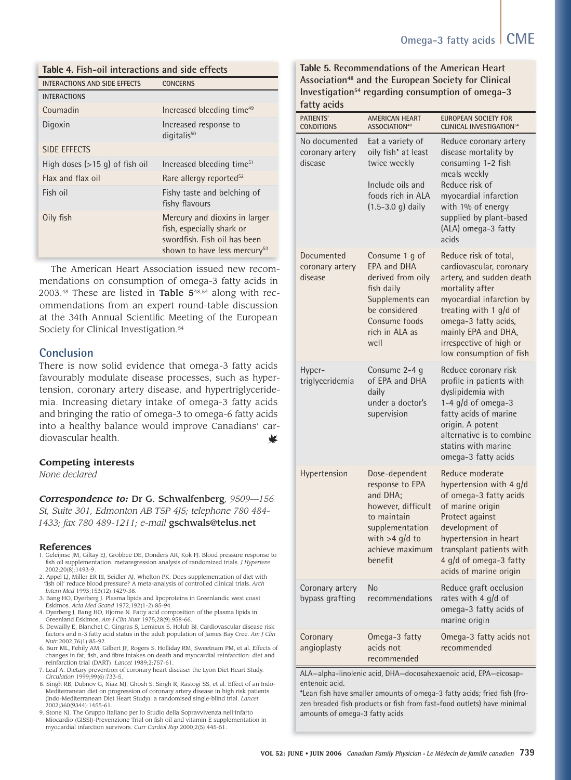#### **Table 4. Fish-oil interactions and side effects**

| <b>INTERACTIONS AND SIDE EFFECTS</b> | <b>CONCERNS</b>                                                                                                                        |
|--------------------------------------|----------------------------------------------------------------------------------------------------------------------------------------|
| <b>INTERACTIONS</b>                  |                                                                                                                                        |
| Coumadin                             | Increased bleeding time <sup>49</sup>                                                                                                  |
| Digoxin                              | Increased response to<br>digitalis <sup>50</sup>                                                                                       |
| <b>SIDE EFFECTS</b>                  |                                                                                                                                        |
| High doses $(>15$ g) of fish oil     | Increased bleeding time <sup>51</sup>                                                                                                  |
| Flax and flax oil                    | Rare allergy reported <sup>52</sup>                                                                                                    |
| Fish oil                             | Fishy taste and belching of<br>fishy flavours                                                                                          |
| Oily fish                            | Mercury and dioxins in larger<br>fish, especially shark or<br>swordfish. Fish oil has been<br>shown to have less mercury <sup>53</sup> |

The American Heart Association issued new recommendations on consumption of omega-3 fatty acids in  $2003<sup>48</sup>$  These are listed in Table  $5<sup>48,54</sup>$  along with recommendations from an expert round-table discussion at the 34th Annual Scientific Meeting of the European Society for Clinical Investigation.<sup>54</sup>

#### **Conclusion**

There is now solid evidence that omega-3 fatty acids favourably modulate disease processes, such as hypertension, coronary artery disease, and hypertriglyceridemia. Increasing dietary intake of omega-3 fatty acids and bringing the ratio of omega-3 to omega-6 fatty acids into a healthy balance would improve Canadians' cardiovascular health. w

#### **Competing interests**

*None declared*

*Correspondence to:* Dr G. Schwalfenberg*, 9509—156 St, Suite 301, Edmonton AB T5P 4J5; telephone 780 484- 1433; fax 780 489-1211; e-mail* gschwals@telus.net

#### **References**

- 1. Geleijnse JM, Giltay EJ, Grobbee DE, Donders AR, Kok FJ. Blood pressure response to fish oil supplementation: metaregression analysis of randomized trials. *J Hypertens* 2002;20(8):1493-9.
- 2. Appel LJ, Miller ER III, Seidler AJ, Whelton PK. Does supplementation of diet with 'fish oil' reduce blood pressure? A meta-analysis of controlled clinical trials. Arch *Intern Med* 1993;153(12):1429-38.
- 3. Bang HO, Dyerberg J. Plasma lipids and lipoproteins in Greenlandic west coast Eskimos. *Acta Med Scand* 1972;192(1-2):85-94.
- 4. Dyerberg J, Bang HO, Hjorne N. Fatty acid composition of the plasma lipids in Greenland Eskimos. *Am J Clin Nutr* 1975;28(9):958-66.
- 5. Dewailly E, Blanchet C, Gingras S, Lemieux S, Holub BJ. Cardiovascular disease risk factors and n-3 fatty acid status in the adult population of James Bay Cree. *Am J Clin Nutr* 2002;76(1):85-92.
- 6. Burr ML, Fehily AM, Gilbert JF, Rogers S, Holliday RM, Sweetnam PM, et al. Effects of<br>changes in fat, fish, and fibre intakes on death and myocardial reinfarction: diet and reinfarction trial (DART). *Lancet* 1989;2:757-61.
- 7. Leaf A. Dietary prevention of coronary heart disease: the Lyon Diet Heart Study. *Circulation* 1999;99(6):733-5.
- 8. Singh RB, Dubnov G, Niaz MJ, Ghosh S, Singh R, Rastogi SS, et al. Effect of an Indo-Mediterranean diet on progression of coronary artery disease in high risk patients (Indo-Mediterranean Diet Heart Study): a randomised single-blind trial. *Lancet* 2002;360(9344):1455-61.
- 9. Stone NJ. The Gruppo Italiano per lo Studio della Sopravvivenza nell'Infarto Miocardio (GISSI)-Prevenzione Trial on fish oil and vitamin E supplementation in myocardial infarction survivors. *Curr Cardiol Rep* 2000;2(5):445-51.

#### **Table 5. Recommendations of the American Heart Association48 and the European Society for Clinical Investigation54 regarding consumption of omega-3 fatty acids**

| <b>PATIENTS'</b><br><b>CONDITIONS</b>       | AMERICAN HEART<br>ASSOCIATION <sup>48</sup>                                                                                                             | <b>EUROPEAN SOCIETY FOR</b><br><b>CLINICAL INVESTIGATION54</b>                                                                                                                                                                                              |
|---------------------------------------------|---------------------------------------------------------------------------------------------------------------------------------------------------------|-------------------------------------------------------------------------------------------------------------------------------------------------------------------------------------------------------------------------------------------------------------|
| No documented<br>coronary artery<br>disease | Eat a variety of<br>oily fish* at least<br>twice weekly<br>Include oils and<br>foods rich in ALA<br>$(1.5 - 3.0)$ daily                                 | Reduce coronary artery<br>disease mortality by<br>consuming 1-2 fish<br>meals weekly<br>Reduce risk of<br>myocardial infarction<br>with 1% of energy<br>supplied by plant-based<br>(ALA) omega-3 fatty<br>acids                                             |
| Documented<br>coronary artery<br>disease    | Consume 1 g of<br><b>EPA and DHA</b><br>derived from oily<br>fish daily<br>Supplements can<br>be considered<br>Consume foods<br>rich in ALA as<br>well  | Reduce risk of total,<br>cardiovascular, coronary<br>artery, and sudden death<br>mortality after<br>myocardial infarction by<br>treating with 1 g/d of<br>omega-3 fatty acids,<br>mainly EPA and DHA,<br>irrespective of high or<br>low consumption of fish |
| Hyper-<br>triglyceridemia                   | Consume 2-4 g<br>of EPA and DHA<br>daily<br>under a doctor's<br>supervision                                                                             | Reduce coronary risk<br>profile in patients with<br>dyslipidemia with<br>1-4 $g/d$ of omega-3<br>fatty acids of marine<br>origin. A potent<br>alternative is to combine<br>statins with marine<br>omega-3 fatty acids                                       |
| Hypertension                                | Dose-dependent<br>response to EPA<br>and DHA;<br>however, difficult<br>to maintain<br>supplementation<br>with $>4$ g/d to<br>achieve maximum<br>benefit | Reduce moderate<br>hypertension with 4 g/d<br>of omega-3 fatty acids<br>of marine origin<br>Protect against<br>development of<br>hypertension in heart<br>transplant patients with<br>4 g/d of omega-3 fatty<br>acids of marine origin                      |
| Coronary artery<br>bypass grafting          | No<br>recommendations                                                                                                                                   | Reduce graft occlusion<br>rates with 4 g/d of<br>omega-3 fatty acids of<br>marine origin                                                                                                                                                                    |
| Coronary<br>angioplasty                     | Omega-3 fatty<br>acids not<br>recommended                                                                                                               | Omega-3 fatty acids not<br>recommended                                                                                                                                                                                                                      |

ALA—alpha-linolenic acid, DHA—docosahexaenoic acid, EPA—eicosapentenoic acid.

\*Lean fish have smaller amounts of omega-3 fatty acids; fried fish (frozen breaded fish products or fish from fast-food outlets) have minimal amounts of omega-3 fatty acids